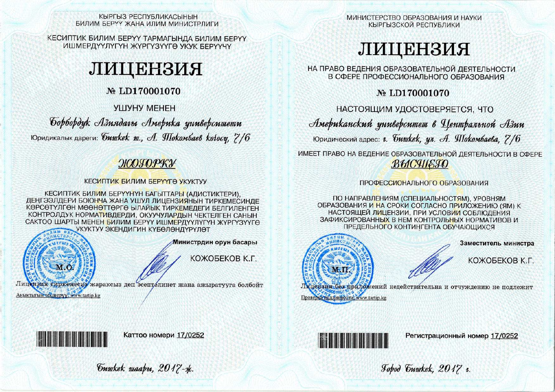КЫРГЫЗ РЕСПУБЛИКАСЫНЫН БИЛИМ БЕРҮҮ ЖАНА ИЛИМ МИНИСТРЛИГИ

КЕСИПТИК БИЛИМ БЕРҮҮ ТАРМАГЫНДА БИЛИМ БЕРҮҮ ИШМЕРДҮҮЛҮГҮН ЖҮРГҮЗҮҮГӨ УКУК БЕРҮҮЧҮ



# № LD170001070

**VIIIVHY MEHEH** 

Борбордук Азиядагы Америка университети Юридикалык дареги: *бишкек ш., А. ЯЛокомбаев колосу*, 7/6

# ЖОГОРКУ

КЕСИПТИК БИЛИМ БЕРҮҮГӨ УКУКТУУ

КЕСИПТИК БИЛИМ БЕРҮҮНҮН БАГЫТТАРЫ (АДИСТИКТЕРИ). ДЕҢГЭЭЛДЕРИ БОЮНЧА ЖАНА УШУЛ ЛИЦЕНЗИЯНЫН ТИРКЕМЕСИНЛЕ КӨРСӨТҮЛГӨН МӨӨНӨТТӨРГӨ ЫЛАЙЫК ТИРКЕМЕДЕГИ БЕЛГИЛЕНГЕН КОНТРОЛДУК НОРМАТИВДЕРДИ, ОКУУЧУЛАРДЫН ЧЕКТЕЛГЕН САНЫН САКТОО ШАРТЫ МЕНЕН БИЛИМ БЕРҮҮ ИШМЕРДҮҮЛҮГҮН ЖҮРГҮЗҮҮГӨ УКУКТУУ ЭКЕНДИГИН КҮБӨЛӨНДҮРҮЛӨТ



Аныктыгын текшерүү. www.tartip.kg

Министрдин орун басары

КОЖОБЕКОВ К.Г.

Лицензия тиркемесие жараксыз деп эсептелинет жана ажыратууга болбойт

МИНИСТЕРСТВО ОБРАЗОВАНИЯ И НАУКИ КЫРГЫЗСКОЙ РЕСПУБЛИКИ

# ЛИЦЕНЗИЯ

НА ПРАВО ВЕДЕНИЯ ОБРАЗОВАТЕЛЬНОЙ ДЕЯТЕЛЬНОСТИ В СФЕРЕ ПРОФЕССИОНАЛЬНОГО ОБРАЗОВАНИЯ

№ LD170001070

НАСТОЯЩИМ УДОСТОВЕРЯЕТСЯ. ЧТО

Американский университет в Центральной Азии

Юридический адрес: г. бишкек, ул. А. Шокомбаева, 7/6

ИМЕЕТ ПРАВО НА ВЕДЕНИЕ ОБРАЗОВАТЕЛЬНОЙ ДЕЯТЕЛЬНОСТИ В СФЕРЕ ВЫСШЕГО

## ПРОФЕССИОНАЛЬНОГО ОБРАЗОВАНИЯ

ПО НАПРАВЛЕНИЯМ (СПЕЦИАЛЬНОСТЯМ), УРОВНЯМ ОБРАЗОВАНИЯ И НА СРОКИ СОГЛАСНО ПРИЛОЖЕНИЮ (ЯМ) К НАСТОЯЩЕЙ ЛИЦЕНЗИИ. ПРИ УСЛОВИИ СОБЛЮЛЕНИЯ ЗАФИКСИРОВАННЫХ В НЕМ КОНТРОЛЬНЫХ НОРМАТИВОВ И ПРЕДЕЛЬНОГО КОНТИНГЕНТА ОБУЧАЮЩИХСЯ



Заместитель министра

КОЖОБЕКОВ К.Г.

Лицензия без приложений недействительна и отчуждению не подлежит Проверка подлинности, www.tartip.kg



Каттоо номери 17/0252



Регистрационный номер 17/0252

Johod Guykek. 2017 v.

Tuwkek waapu, 2017-x.